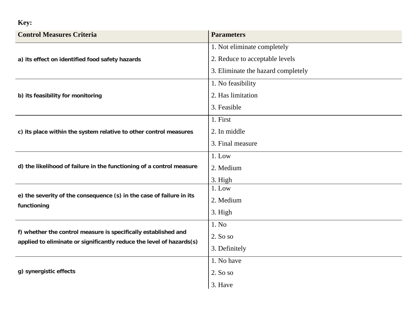## **Key:**

| <b>Control Measures Criteria</b>                                                                                                       | <b>Parameters</b>                  |  |  |  |  |
|----------------------------------------------------------------------------------------------------------------------------------------|------------------------------------|--|--|--|--|
|                                                                                                                                        | 1. Not eliminate completely        |  |  |  |  |
| a) its effect on identified food safety hazards                                                                                        | 2. Reduce to acceptable levels     |  |  |  |  |
|                                                                                                                                        | 3. Eliminate the hazard completely |  |  |  |  |
|                                                                                                                                        | 1. No feasibility                  |  |  |  |  |
| b) its feasibility for monitoring                                                                                                      | 2. Has limitation                  |  |  |  |  |
|                                                                                                                                        | 3. Feasible                        |  |  |  |  |
|                                                                                                                                        | 1. First                           |  |  |  |  |
| c) its place within the system relative to other control measures                                                                      | 2. In middle                       |  |  |  |  |
|                                                                                                                                        | 3. Final measure                   |  |  |  |  |
|                                                                                                                                        | $1.$ Low                           |  |  |  |  |
| d) the likelihood of failure in the functioning of a control measure                                                                   | 2. Medium                          |  |  |  |  |
|                                                                                                                                        | 3. High                            |  |  |  |  |
|                                                                                                                                        | $1.$ Low                           |  |  |  |  |
| e) the severity of the consequence (s) in the case of failure in its<br>functioning                                                    | 2. Medium                          |  |  |  |  |
|                                                                                                                                        | 3. High                            |  |  |  |  |
|                                                                                                                                        | 1. No                              |  |  |  |  |
| f) whether the control measure is specifically established and<br>applied to eliminate or significantly reduce the level of hazards(s) | 2. So so                           |  |  |  |  |
|                                                                                                                                        | 3. Definitely                      |  |  |  |  |
|                                                                                                                                        | 1. No have                         |  |  |  |  |
| g) synergistic effects                                                                                                                 | 2. So so                           |  |  |  |  |
|                                                                                                                                        | 3. Have                            |  |  |  |  |